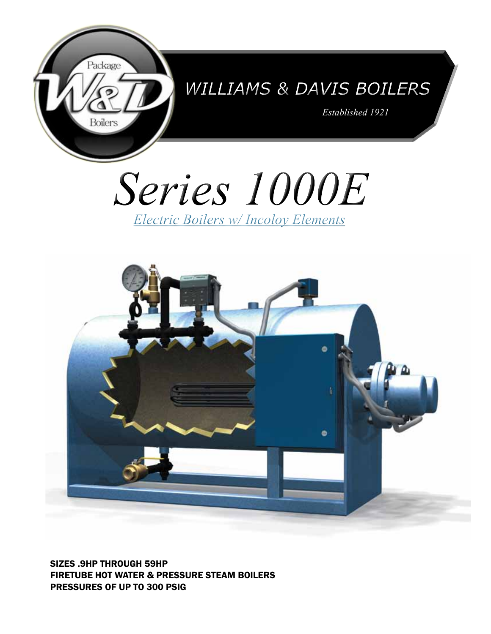

## *Williams & Davis Boilers*

*Established 1921*





SIZES .9HP THROUGH 59HP FIRETUBE HOT WATER & PRESSURE STEAM BOILERS PRESSURES OF UP TO 300 PSIG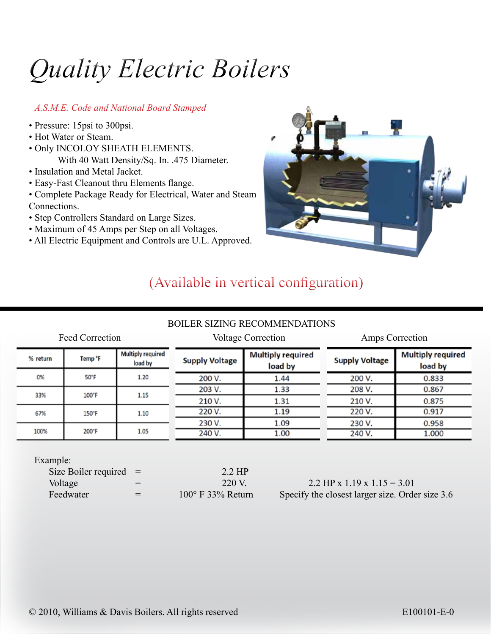# *Quality Electric Boilers*

#### *A.S.M.E. Code and National Board Stamped*

- Pressure: 15psi to 300psi.
- Hot Water or Steam.
- Only INCOLOY SHEATH ELEMENTS. With 40 Watt Density/Sq. In. .475 Diameter.
- Insulation and Metal Jacket.
- Easy-Fast Cleanout thru Elements flange.
- Complete Package Ready for Electrical, Water and Steam Connections.
- Step Controllers Standard on Large Sizes.
- Maximum of 45 Amps per Step on all Voltages.
- All Electric Equipment and Controls are U.L. Approved.



### (Available in vertical configuration)

### BOILER SIZING RECOMMENDATIONS

|          | Feed Correction     |                                     |                       | <b>Voltage Correction</b>           | Amps Correction       |                                     |  |  |  |  |
|----------|---------------------|-------------------------------------|-----------------------|-------------------------------------|-----------------------|-------------------------------------|--|--|--|--|
| % return | Temp <sup>o</sup> F | <b>Multiply required</b><br>load by | <b>Supply Voltage</b> | <b>Multiply required</b><br>load by | <b>Supply Voltage</b> | <b>Multiply required</b><br>load by |  |  |  |  |
| 0%       | 50°F                | 1.20                                | 200 V.                | 1.44                                | 200 V.                | 0.833                               |  |  |  |  |
| 33%      | 100°F               | 1.15                                | 203 V.                | 1.33                                | 208 V.                | 0.867                               |  |  |  |  |
|          |                     |                                     | 210 V.                | 1.31                                | 210 V.                | 0.875                               |  |  |  |  |
| 67%      | 150°F               | 1.10                                | 220 V.                | 1.19                                | 220 V.                | 0.917                               |  |  |  |  |
|          |                     |                                     | 230 V.                | 1.09                                | 230 V.                | 0.958                               |  |  |  |  |
| 100%     | 200°F               | 1.05                                | 240 V.                | 1.00                                | 240 V.                | 1.000                               |  |  |  |  |

Example:

| Size Boiler required $=$ |     | $2.2$ HP                   |                                                 |
|--------------------------|-----|----------------------------|-------------------------------------------------|
| Voltage                  | $=$ | 220 V.                     | 2.2 HP x 1.19 x 1.15 = 3.01                     |
| Feedwater                | $=$ | $100^{\circ}$ F 33% Return | Specify the closest larger size. Order size 3.6 |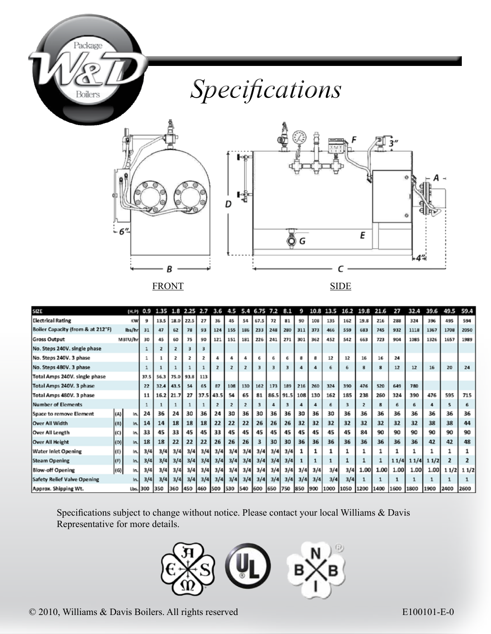

## *Specifications*





FRONT SIDE

| <b>SIZE</b>                        |         | (H, P)  | 0.9      | 1.35 |         | 2.25      | 2.7  | 3.6            | 4.5     | 5.4            | 6.75 | 7.2     | 8.1 | 9            | 10.8 | 13.5 | 16.2 | 19.8 | 21.6 | 27   | 32.4 | 39.6 | 49.5           | 59.4 |
|------------------------------------|---------|---------|----------|------|---------|-----------|------|----------------|---------|----------------|------|---------|-----|--------------|------|------|------|------|------|------|------|------|----------------|------|
| <b>Electrical Rating</b>           |         | KW      | 9        | 13.5 |         | 18.0 22.5 | 27   | 36             | 45      | 54             | 67.5 | 72      | 81  | 90           | 108  | 135  | 162  | 19.8 | 216  | 288  | 324  | 396  | 495            | 594  |
| Boiler Capacity (from & at 212°F)  |         | lbs/hr  | 31       | 47   | 62      | 78        | 93   | 124            | 155     | 186            | 233  | 248     | 280 | 311          | 373  | 466  | 559  | 683  | 745  | 932  | 1118 | 1367 | 1708           | 2050 |
| <b>Gross Output</b>                |         | MBTU/hr | 30       | 45   | 60      | 75        | 90   | 121            | 151     | 181            | 226  | 241     | 271 | 301          | 362  | 452  | 542  | 663  | 723  | 904  | 1085 | 1326 | 1657           | 1989 |
| No. Steps 240V. single phase       |         |         |          |      | z       |           | з    |                |         |                |      |         |     |              |      |      |      |      |      |      |      |      |                |      |
| No. Steps 240V. 3 phase            |         |         |          |      | 2       |           |      |                |         | 4              | 6    |         | 6   | $\mathbf{R}$ | 8    | 12   | 12   | 16   | 16   | 24   |      |      |                |      |
| No. Steps 480V. 3 phase            |         |         |          |      |         |           |      | $\overline{z}$ |         | $\overline{z}$ | з    |         | 3   |              |      | 6    | 6    | 8    | 8    | 12   | $12$ | 16   | 20             | 24   |
| Total Amps 240V. single phase      |         |         | 37.5     | 56.3 | 75.0    | 93.8      | 113  |                |         |                |      |         |     |              |      |      |      |      |      |      |      |      |                |      |
| Total Amps 240V. 3 phase           |         |         | 22       | 32.4 | 43.5    | 54        | 65   | 87             | 108     | 130            | 162  | 173     | 189 | 216          | 260  | 324  | 390  | 476  | 520  | 649  | 780  |      |                |      |
| Total Amps 480V. 3 phase           |         |         | 11       | 16.2 | 21.7    | 27        | 37.5 | 43.5           | 54      | 65             | 81   | 86.5    |     | $91.5$ 108   | 130  | 162  | 185  | 238  | 260  | 324  | 390  | 476  | 595            | 715  |
| Number of Elements                 |         |         |          |      |         |           |      |                |         |                |      |         | з   |              |      | 6    |      |      |      |      | 6    |      | s              | 6    |
| Space to remove Element            | (A)     | In.     | 24       | 36   | 24      | 30        | 36   | 24             | 30      | 36             | 30   | 36      | 36  | 30           | 36   | 30   | 36   | 36   | 36   | 36   | 36   | 36   | 36             | 36   |
| Over All Width                     | (8)     | In.     | 14       | 14   | 18      | 18        | 18   | 22             | 22      | 22             | 26   | 26      | 26  | 32           | 32   | 32   | 32   | 32   | 32   | 32   | 32   | 38   | 38             | 44   |
| Over All Length                    | (C)     | In.     | 33       | 45   | 33      | 45        | 45   | 33             | 45      | 45             | 45   | 45      | 45  | 45           | 45   | 45   | 45   | 84   | 90   | 90   | 90   | 90   | 90             | 90   |
| <b>Over All Height</b>             | (D)     | In.     | 18       | 18   | 22      | 22        | 22   | 26             | 26      | 26             | з    | 30      | 30  | 36           | 36   | 36   | 36   | 36   | 36   | 36   | 36   | 42   | 42             | 48   |
| Water Inlet Opening                | (E)     | In.     | 3/4      | 3/4  | 3/4     | 3/4       | 3/4  | 3/4            | 3/4     | 3/4            | 3/4  | 3/4     | 3/4 |              |      |      |      |      |      |      |      |      |                |      |
| <b>Steam Opening</b>               | $ $ (F) | ln.     | 3/4      | 3/4  | 3/4     | 3/4       | 3/4  | 3/4            | 3/4     | 3/4            | 3/4  | 3/4     | 3/4 |              |      |      |      |      |      | 11/4 | 11/4 | 11/2 | $\overline{2}$ |      |
| <b>Blow-off Opening</b>            | (G)     | In.     | 3/4      | 3/4  | 3/4     | 3/4       | 3/4  | 3/4            | 3/4     | 3/4            | 3/4  | 3/4     | 3/4 | 3/4          | 3/4  | 3/4  | 3/4  | 1.00 | 1.00 | 1.00 | 1.00 | 1.00 | 11/2           | 11/2 |
| <b>Safety Relief Valve Opening</b> |         | In.     | 3/4      | 3/4  | 3/4     | 3/4       | 3/4  | 3/4            | 3/4     | 3/4            | 3/4  | 3/4     | 3/4 | 3/4          | 3/4  | 3/4  | 3/4  |      |      |      |      |      |                |      |
| Approx. Shipping Wt.               |         |         | Lbs. 300 | 350  | 360 450 |           | 460  | 500            | 530 540 |                | 600  | 650 750 |     | 850          | 900  | 1000 | 1050 | 1200 | 1400 | 1600 | 1800 | 1900 | 2400           | 2600 |

Specifications subject to change without notice. Please contact your local Williams & Davis Representative for more details.